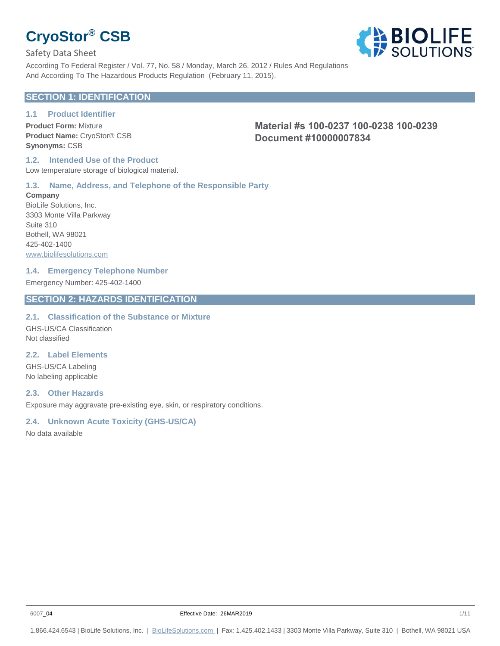Safety Data Sheet

**BIOLIFE** According To Federal Register / Vol. 77, No. 58 / Monday, March 26, 2012 / Rules And Regulations And According To The Hazardous Products Regulation (February 11, 2015).

# **SECTION 1: IDENTIFICATION**

# **1.1 Product Identifier**

**Product Form:** Mixture **Product Name:** CryoStor® CSB **Synonyms:** CSB

**Material #s 100-0237 100-0238 100-0239 Document #10000007834**

#### **1.2. Intended Use of the Product** Low temperature storage of biological material.

### **1.3. Name, Address, and Telephone of the Responsible Party**

**Company** BioLife Solutions, Inc. 3303 Monte Villa Parkway Suite 310 Bothell, WA 98021 425-402-1400 www.biolifesolutions.com

### **1.4. Emergency Telephone Number**

Emergency Number: 425-402-1400

## **SECTION 2: HAZARDS IDENTIFICATION**

### **2.1. Classification of the Substance or Mixture**

GHS-US/CA Classification Not classified

### **2.2. Label Elements**

GHS-US/CA Labeling No labeling applicable

### **2.3. Other Hazards**

Exposure may aggravate pre-existing eye, skin, or respiratory conditions.

## **2.4. Unknown Acute Toxicity (GHS-US/CA)**

No data available

1.866.424.6543 | BioLife Solutions, Inc. | BioLifeSolutions.com | Fax: 1.425.402.1433 | 3303 Monte Villa Parkway, Suite 310 | Bothell, WA 98021 USA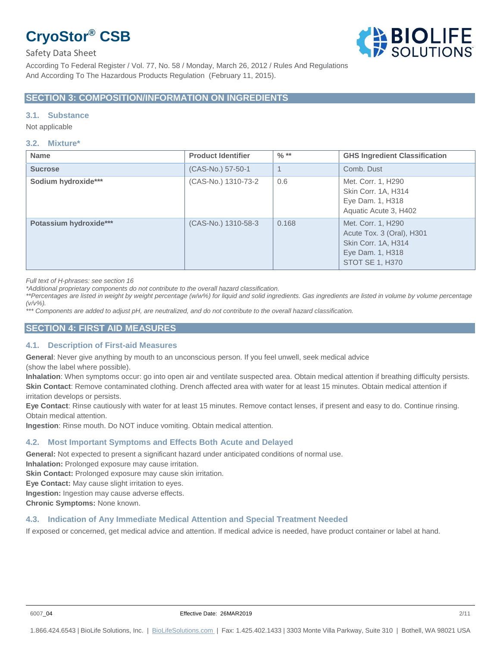

According To Federal Register / Vol. 77, No. 58 / Monday, March 26, 2012 / Rules And Regulations And According To The Hazardous Products Regulation (February 11, 2015).

### **SECTION 3: COMPOSITION/INFORMATION ON INGREDIENTS**

#### **3.1. Substance**

Not applicable

#### **3.2. Mixture\***

| <b>Name</b>            | <b>Product Identifier</b> | $\frac{0}{6}$ ** | <b>GHS Ingredient Classification</b>                                                                          |
|------------------------|---------------------------|------------------|---------------------------------------------------------------------------------------------------------------|
| <b>Sucrose</b>         | (CAS-No.) 57-50-1         | 1                | Comb, Dust                                                                                                    |
| Sodium hydroxide***    | (CAS-No.) 1310-73-2       | 0.6              | Met. Corr. 1, H290<br>Skin Corr. 1A, H314<br>Eye Dam. 1, H318<br>Aquatic Acute 3, H402                        |
| Potassium hydroxide*** | (CAS-No.) 1310-58-3       | 0.168            | Met. Corr. 1, H290<br>Acute Tox. 3 (Oral), H301<br>Skin Corr. 1A, H314<br>Eye Dam. 1, H318<br>STOT SE 1, H370 |

*Full text of H-phrases: see section 16*

*\*Additional proprietary components do not contribute to the overall hazard classification.*

\*\*Percentages are listed in weight by weight percentage (w/w%) for liquid and solid ingredients. Gas ingredients are listed in volume by volume percentage *(v/v%).*

*\*\*\* Components are added to adjust pH, are neutralized, and do not contribute to the overall hazard classification.*

#### **SECTION 4: FIRST AID MEASURES**

#### **4.1. Description of First-aid Measures**

**General**: Never give anything by mouth to an unconscious person. If you feel unwell, seek medical advice

(show the label where possible).

**Inhalation**: When symptoms occur: go into open air and ventilate suspected area. Obtain medical attention if breathing difficulty persists. **Skin Contact**: Remove contaminated clothing. Drench affected area with water for at least 15 minutes. Obtain medical attention if irritation develops or persists.

**Eye Contact**: Rinse cautiously with water for at least 15 minutes. Remove contact lenses, if present and easy to do. Continue rinsing. Obtain medical attention.

**Ingestion**: Rinse mouth. Do NOT induce vomiting. Obtain medical attention.

#### **4.2. Most Important Symptoms and Effects Both Acute and Delayed**

**General:** Not expected to present a significant hazard under anticipated conditions of normal use.

**Inhalation:** Prolonged exposure may cause irritation.

**Skin Contact:** Prolonged exposure may cause skin irritation.

**Eye Contact:** May cause slight irritation to eyes.

**Ingestion:** Ingestion may cause adverse effects.

**Chronic Symptoms:** None known.

#### **4.3. Indication of Any Immediate Medical Attention and Special Treatment Needed**

If exposed or concerned, get medical advice and attention. If medical advice is needed, have product container or label at hand.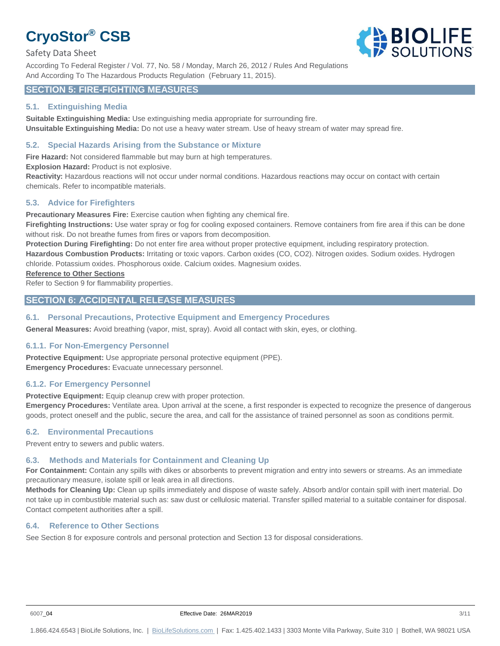#### Safety Data Sheet

**BIOLIFE** 

According To Federal Register / Vol. 77, No. 58 / Monday, March 26, 2012 / Rules And Regulations And According To The Hazardous Products Regulation (February 11, 2015).

### **SECTION 5: FIRE-FIGHTING MEASURES**

#### **5.1. Extinguishing Media**

**Suitable Extinguishing Media:** Use extinguishing media appropriate for surrounding fire. **Unsuitable Extinguishing Media:** Do not use a heavy water stream. Use of heavy stream of water may spread fire.

#### **5.2. Special Hazards Arising from the Substance or Mixture**

**Fire Hazard:** Not considered flammable but may burn at high temperatures.

**Explosion Hazard:** Product is not explosive.

**Reactivity:** Hazardous reactions will not occur under normal conditions. Hazardous reactions may occur on contact with certain chemicals. Refer to incompatible materials.

#### **5.3. Advice for Firefighters**

**Precautionary Measures Fire:** Exercise caution when fighting any chemical fire.

Firefighting Instructions: Use water spray or fog for cooling exposed containers. Remove containers from fire area if this can be done without risk. Do not breathe fumes from fires or vapors from decomposition.

**Protection During Firefighting:** Do not enter fire area without proper protective equipment, including respiratory protection.

**Hazardous Combustion Products:** Irritating or toxic vapors. Carbon oxides (CO, CO2). Nitrogen oxides. Sodium oxides. Hydrogen chloride. Potassium oxides. Phosphorous oxide. Calcium oxides. Magnesium oxides.

#### **Reference to Other Sections**

Refer to Section 9 for flammability properties.

### **SECTION 6: ACCIDENTAL RELEASE MEASURES**

#### **6.1. Personal Precautions, Protective Equipment and Emergency Procedures**

**General Measures:** Avoid breathing (vapor, mist, spray). Avoid all contact with skin, eyes, or clothing.

#### **6.1.1. For Non-Emergency Personnel**

**Protective Equipment:** Use appropriate personal protective equipment (PPE). **Emergency Procedures:** Evacuate unnecessary personnel.

#### **6.1.2. For Emergency Personnel**

**Protective Equipment:** Equip cleanup crew with proper protection.

**Emergency Procedures:** Ventilate area. Upon arrival at the scene, a first responder is expected to recognize the presence of dangerous goods, protect oneself and the public, secure the area, and call for the assistance of trained personnel as soon as conditions permit.

#### **6.2. Environmental Precautions**

Prevent entry to sewers and public waters.

# **6.3. Methods and Materials for Containment and Cleaning Up**

**For Containment:** Contain any spills with dikes or absorbents to prevent migration and entry into sewers or streams. As an immediate precautionary measure, isolate spill or leak area in all directions.

**Methods for Cleaning Up:** Clean up spills immediately and dispose of waste safely. Absorb and/or contain spill with inert material. Do not take up in combustible material such as: saw dust or cellulosic material. Transfer spilled material to a suitable container for disposal. Contact competent authorities after a spill.

## **6.4. Reference to Other Sections**

See Section 8 for exposure controls and personal protection and Section 13 for disposal considerations.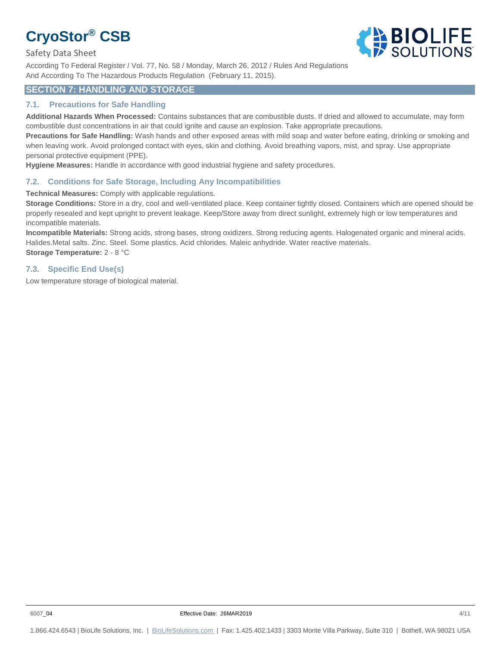Safety Data Sheet



According To Federal Register / Vol. 77, No. 58 / Monday, March 26, 2012 / Rules And Regulations And According To The Hazardous Products Regulation (February 11, 2015).

# **SECTION 7: HANDLING AND STORAGE**

### **7.1. Precautions for Safe Handling**

**Additional Hazards When Processed:** Contains substances that are combustible dusts. If dried and allowed to accumulate, may form combustible dust concentrations in air that could ignite and cause an explosion. Take appropriate precautions.

**Precautions for Safe Handling:** Wash hands and other exposed areas with mild soap and water before eating, drinking or smoking and when leaving work. Avoid prolonged contact with eyes, skin and clothing. Avoid breathing vapors, mist, and spray. Use appropriate personal protective equipment (PPE).

**Hygiene Measures:** Handle in accordance with good industrial hygiene and safety procedures.

### **7.2. Conditions for Safe Storage, Including Any Incompatibilities**

**Technical Measures:** Comply with applicable regulations.

**Storage Conditions:** Store in a dry, cool and well-ventilated place. Keep container tightly closed. Containers which are opened should be properly resealed and kept upright to prevent leakage. Keep/Store away from direct sunlight, extremely high or low temperatures and incompatible materials.

**Incompatible Materials:** Strong acids, strong bases, strong oxidizers. Strong reducing agents. Halogenated organic and mineral acids. Halides.Metal salts. Zinc. Steel. Some plastics. Acid chlorides. Maleic anhydride. Water reactive materials. **Storage Temperature:** 2 - 8 °C

### **7.3. Specific End Use(s)**

Low temperature storage of biological material.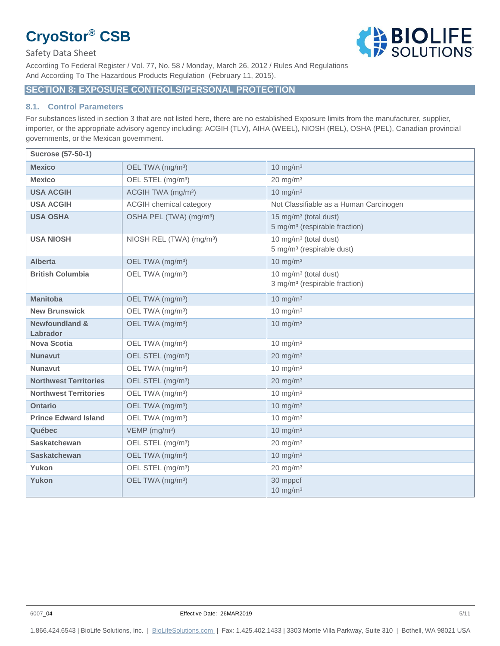#### Safety Data Sheet

**BIOLIFE** According To Federal Register / Vol. 77, No. 58 / Monday, March 26, 2012 / Rules And Regulations And According To The Hazardous Products Regulation (February 11, 2015).

# **SECTION 8: EXPOSURE CONTROLS/PERSONAL PROTECTION**

#### **8.1. Control Parameters**

For substances listed in section 3 that are not listed here, there are no established Exposure limits from the manufacturer, supplier, importer, or the appropriate advisory agency including: ACGIH (TLV), AIHA (WEEL), NIOSH (REL), OSHA (PEL), Canadian provincial governments, or the Mexican government.

| <b>Sucrose (57-50-1)</b>              |                                      |                                                                                |
|---------------------------------------|--------------------------------------|--------------------------------------------------------------------------------|
| <b>Mexico</b>                         | OEL TWA (mg/m <sup>3</sup> )         | $10 \text{ mg/m}^3$                                                            |
| <b>Mexico</b>                         | OEL STEL (mg/m <sup>3</sup> )        | $20 \text{ mg/m}^3$                                                            |
| <b>USA ACGIH</b>                      | ACGIH TWA (mg/m <sup>3</sup> )       | $10 \text{ mg/m}^3$                                                            |
| <b>USA ACGIH</b>                      | <b>ACGIH chemical category</b>       | Not Classifiable as a Human Carcinogen                                         |
| <b>USA OSHA</b>                       | OSHA PEL (TWA) (mg/m <sup>3</sup> )  | 15 mg/m <sup>3</sup> (total dust)<br>5 mg/m <sup>3</sup> (respirable fraction) |
| <b>USA NIOSH</b>                      | NIOSH REL (TWA) (mg/m <sup>3</sup> ) | 10 mg/m <sup>3</sup> (total dust)<br>5 mg/m <sup>3</sup> (respirable dust)     |
| <b>Alberta</b>                        | OEL TWA (mg/m <sup>3</sup> )         | $10 \text{ mg/m}^3$                                                            |
| <b>British Columbia</b>               | OEL TWA (mg/m <sup>3</sup> )         | 10 mg/m <sup>3</sup> (total dust)<br>3 mg/m <sup>3</sup> (respirable fraction) |
| <b>Manitoba</b>                       | OEL TWA (mg/m <sup>3</sup> )         | $10 \text{ mg/m}^3$                                                            |
| <b>New Brunswick</b>                  | OEL TWA (mg/m <sup>3</sup> )         | $10 \text{ mg/m}^3$                                                            |
| <b>Newfoundland &amp;</b><br>Labrador | OEL TWA (mg/m <sup>3</sup> )         | $10 \text{ mg/m}^3$                                                            |
| <b>Nova Scotia</b>                    | OEL TWA (mg/m <sup>3</sup> )         | $10 \text{ mg/m}^3$                                                            |
| <b>Nunavut</b>                        | OEL STEL (mg/m <sup>3</sup> )        | $20 \text{ mg/m}^3$                                                            |
| <b>Nunavut</b>                        | OEL TWA (mg/m <sup>3</sup> )         | $10 \text{ mg/m}^3$                                                            |
| <b>Northwest Territories</b>          | OEL STEL (mg/m <sup>3</sup> )        | $20 \text{ mg/m}^3$                                                            |
| <b>Northwest Territories</b>          | OEL TWA (mg/m <sup>3</sup> )         | $10 \text{ mg/m}^3$                                                            |
| <b>Ontario</b>                        | OEL TWA (mg/m <sup>3</sup> )         | $10 \text{ mg/m}^3$                                                            |
| <b>Prince Edward Island</b>           | OEL TWA (mg/m <sup>3</sup> )         | $10 \text{ mg/m}^3$                                                            |
| Québec                                | VEMP (mg/m <sup>3</sup> )            | $10 \text{ mg/m}^3$                                                            |
| <b>Saskatchewan</b>                   | OEL STEL (mg/m <sup>3</sup> )        | $20 \text{ mg/m}^3$                                                            |
| <b>Saskatchewan</b>                   | OEL TWA (mg/m <sup>3</sup> )         | $10 \text{ mg/m}^3$                                                            |
| Yukon                                 | OEL STEL (mg/m <sup>3</sup> )        | $20 \text{ mg/m}^3$                                                            |
| Yukon                                 | OEL TWA (mg/m <sup>3</sup> )         | 30 mppcf<br>$10 \text{ mg/m}^3$                                                |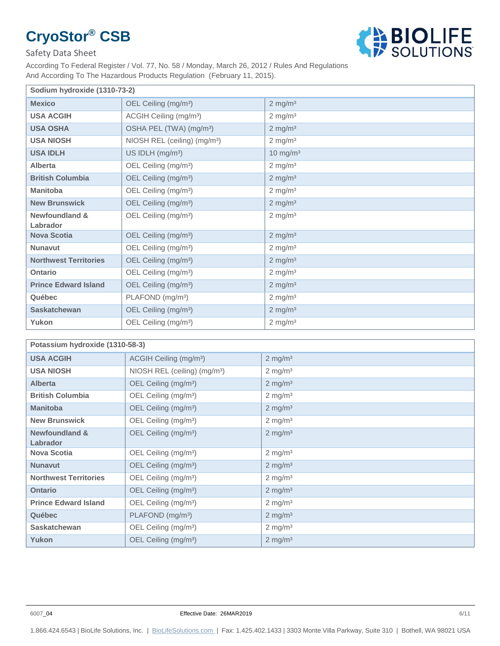

### Safety Data Sheet

According To Federal Register / Vol. 77, No. 58 / Monday, March 26, 2012 / Rules And Regulations And According To The Hazardous Products Regulation (February 11, 2015).

| Sodium hydroxide (1310-73-2)          |                                          |                       |
|---------------------------------------|------------------------------------------|-----------------------|
| <b>Mexico</b>                         | OEL Ceiling (mg/m <sup>3</sup> )         | $2$ mg/m <sup>3</sup> |
| <b>USA ACGIH</b>                      | ACGIH Ceiling (mg/m <sup>3</sup> )       | $2$ mg/m <sup>3</sup> |
| <b>USA OSHA</b>                       | OSHA PEL (TWA) (mg/m <sup>3</sup> )      | $2$ mg/m <sup>3</sup> |
| <b>USA NIOSH</b>                      | NIOSH REL (ceiling) (mg/m <sup>3</sup> ) | $2 \text{ mg/m}^3$    |
| <b>USA IDLH</b>                       | US IDLH (mg/m <sup>3</sup> )             | $10 \text{ mg/m}^3$   |
| Alberta                               | OEL Ceiling (mg/m <sup>3</sup> )         | $2 \text{ mg/m}^3$    |
| <b>British Columbia</b>               | OEL Ceiling (mg/m <sup>3</sup> )         | $2 \text{ mg/m}^3$    |
| <b>Manitoba</b>                       | OEL Ceiling (mg/m <sup>3</sup> )         | $2 \text{ mg/m}^3$    |
| <b>New Brunswick</b>                  | OEL Ceiling (mg/m <sup>3</sup> )         | $2$ mg/m <sup>3</sup> |
| <b>Newfoundland &amp;</b><br>Labrador | OEL Ceiling (mg/m <sup>3</sup> )         | $2$ mg/m <sup>3</sup> |
| <b>Nova Scotia</b>                    | OEL Ceiling (mg/m <sup>3</sup> )         | $2$ mg/m <sup>3</sup> |
| <b>Nunavut</b>                        | OEL Ceiling (mg/m <sup>3</sup> )         | $2 \text{ mg/m}^3$    |
| <b>Northwest Territories</b>          | OEL Ceiling (mg/m <sup>3</sup> )         | $2$ mg/m <sup>3</sup> |
| Ontario                               | OEL Ceiling (mg/m <sup>3</sup> )         | $2 \text{ mg/m}^3$    |
| <b>Prince Edward Island</b>           | OEL Ceiling (mg/m <sup>3</sup> )         | $2 \text{ mg/m}^3$    |
| Québec                                | PLAFOND (mg/m <sup>3</sup> )             | $2 \text{ mg/m}^3$    |
| <b>Saskatchewan</b>                   | OEL Ceiling (mg/m <sup>3</sup> )         | $2$ mg/m <sup>3</sup> |
| Yukon                                 | OEL Ceiling (mg/m <sup>3</sup> )         | $2 \text{ mg/m}^3$    |

| Potassium hydroxide (1310-58-3) |                                          |                       |
|---------------------------------|------------------------------------------|-----------------------|
| <b>USA ACGIH</b>                | ACGIH Ceiling (mg/m <sup>3</sup> )       | $2$ mg/m <sup>3</sup> |
| <b>USA NIOSH</b>                | NIOSH REL (ceiling) (mg/m <sup>3</sup> ) | $2 \text{ mg/m}^3$    |
| <b>Alberta</b>                  | OEL Ceiling (mg/m <sup>3</sup> )         | $2 \text{ mg/m}^3$    |
| <b>British Columbia</b>         | OEL Ceiling (mg/m <sup>3</sup> )         | $2 \text{ mg/m}^3$    |
| <b>Manitoba</b>                 | OEL Ceiling (mg/m <sup>3</sup> )         | $2 \text{ mg/m}^3$    |
| <b>New Brunswick</b>            | OEL Ceiling (mg/m <sup>3</sup> )         | $2 \text{ mg/m}^3$    |
| <b>Newfoundland &amp;</b>       | OEL Ceiling (mg/m <sup>3</sup> )         | $2 \text{ mg/m}^3$    |
| Labrador                        |                                          |                       |
| <b>Nova Scotia</b>              | OEL Ceiling (mg/m <sup>3</sup> )         | $2 \text{ mg/m}^3$    |
| <b>Nunavut</b>                  | OEL Ceiling (mg/m <sup>3</sup> )         | $2 \text{ mg/m}^3$    |
| <b>Northwest Territories</b>    | OEL Ceiling (mg/m <sup>3</sup> )         | $2 \text{ mg/m}^3$    |
| <b>Ontario</b>                  | OEL Ceiling (mg/m <sup>3</sup> )         | $2 \text{ mg/m}^3$    |
| <b>Prince Edward Island</b>     | OEL Ceiling (mg/m <sup>3</sup> )         | $2 \text{ mg/m}^3$    |
| Québec                          | PLAFOND (mg/m <sup>3</sup> )             | $2 \text{ mg/m}^3$    |
| <b>Saskatchewan</b>             | OEL Ceiling (mg/m <sup>3</sup> )         | $2 \text{ mg/m}^3$    |
| Yukon                           | OEL Ceiling (mg/m <sup>3</sup> )         | $2 \text{ mg/m}^3$    |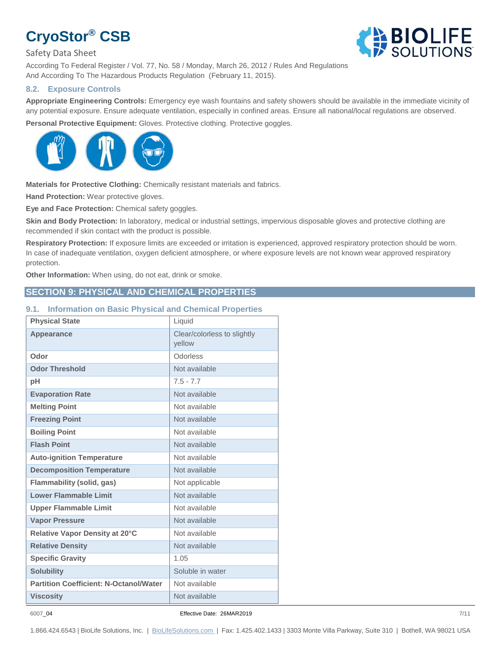Safety Data Sheet

According To Federal Register / Vol. 77, No. 58 / Monday, March 26, 2012 / Rules And Regulations And According To The Hazardous Products Regulation (February 11, 2015).

#### **8.2. Exposure Controls**

**Appropriate Engineering Controls:** Emergency eye wash fountains and safety showers should be available in the immediate vicinity of any potential exposure. Ensure adequate ventilation, especially in confined areas. Ensure all national/local regulations are observed.

Personal Protective Equipment: Gloves. Protective clothing. Protective goggles.



**Materials for Protective Clothing:** Chemically resistant materials and fabrics.

**Hand Protection:** Wear protective gloves.

**Eye and Face Protection:** Chemical safety goggles.

**Skin and Body Protection:** In laboratory, medical or industrial settings, impervious disposable gloves and protective clothing are recommended if skin contact with the product is possible.

**Respiratory Protection:** If exposure limits are exceeded or irritation is experienced, approved respiratory protection should be worn. In case of inadequate ventilation, oxygen deficient atmosphere, or where exposure levels are not known wear approved respiratory protection.

**Other Information:** When using, do not eat, drink or smoke.

## **SECTION 9: PHYSICAL AND CHEMICAL PROPERTIES**

#### **9.1. Information on Basic Physical and Chemical Properties**

| <b>Physical State</b>                         | Liquid                                |
|-----------------------------------------------|---------------------------------------|
| <b>Appearance</b>                             | Clear/colorless to slightly<br>vellow |
| Odor                                          | Odorless                              |
| <b>Odor Threshold</b>                         | Not available                         |
| pH                                            | $7.5 - 7.7$                           |
| <b>Evaporation Rate</b>                       | Not available                         |
| <b>Melting Point</b>                          | Not available                         |
| <b>Freezing Point</b>                         | Not available                         |
| <b>Boiling Point</b>                          | Not available                         |
| <b>Flash Point</b>                            | Not available                         |
| <b>Auto-ignition Temperature</b>              | Not available                         |
| <b>Decomposition Temperature</b>              | Not available                         |
| <b>Flammability (solid, gas)</b>              | Not applicable                        |
| <b>Lower Flammable Limit</b>                  | Not available                         |
| <b>Upper Flammable Limit</b>                  | Not available                         |
| <b>Vapor Pressure</b>                         | Not available                         |
| Relative Vapor Density at 20°C                | Not available                         |
| <b>Relative Density</b>                       | Not available                         |
| <b>Specific Gravity</b>                       | 1.05                                  |
| <b>Solubility</b>                             | Soluble in water                      |
| <b>Partition Coefficient: N-Octanol/Water</b> | Not available                         |
| <b>Viscosity</b>                              | Not available                         |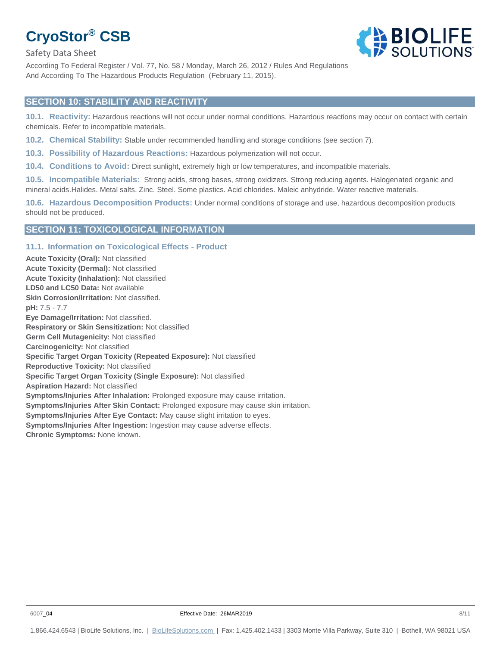Safety Data Sheet

According To Federal Register / Vol. 77, No. 58 / Monday, March 26, 2012 / Rules And Regulations And According To The Hazardous Products Regulation (February 11, 2015).

#### **SECTION 10: STABILITY AND REACTIVITY**

**10.1. Reactivity:** Hazardous reactions will not occur under normal conditions. Hazardous reactions may occur on contact with certain chemicals. Refer to incompatible materials.

**10.2. Chemical Stability:** Stable under recommended handling and storage conditions (see section 7).

**10.3. Possibility of Hazardous Reactions:** Hazardous polymerization will not occur.

**10.4. Conditions to Avoid:** Direct sunlight, extremely high or low temperatures, and incompatible materials.

**10.5. Incompatible Materials:** Strong acids, strong bases, strong oxidizers. Strong reducing agents. Halogenated organic and mineral acids.Halides. Metal salts. Zinc. Steel. Some plastics. Acid chlorides. Maleic anhydride. Water reactive materials.

**10.6. Hazardous Decomposition Products:** Under normal conditions of storage and use, hazardous decomposition products should not be produced.

#### **SECTION 11: TOXICOLOGICAL INFORMATION**

#### **11.1. Information on Toxicological Effects - Product**

**Acute Toxicity (Oral):** Not classified **Acute Toxicity (Dermal):** Not classified **Acute Toxicity (Inhalation):** Not classified **LD50 and LC50 Data:** Not available **Skin Corrosion/Irritation:** Not classified. **pH:** 7.5 - 7.7 **Eye Damage/Irritation:** Not classified. **Respiratory or Skin Sensitization:** Not classified **Germ Cell Mutagenicity:** Not classified **Carcinogenicity:** Not classified **Specific Target Organ Toxicity (Repeated Exposure):** Not classified **Reproductive Toxicity:** Not classified **Specific Target Organ Toxicity (Single Exposure):** Not classified **Aspiration Hazard:** Not classified **Symptoms/Injuries After Inhalation:** Prolonged exposure may cause irritation. **Symptoms/Injuries After Skin Contact:** Prolonged exposure may cause skin irritation. **Symptoms/Injuries After Eye Contact:** May cause slight irritation to eyes. **Symptoms/Injuries After Ingestion:** Ingestion may cause adverse effects. **Chronic Symptoms:** None known.

**BIOLIFE**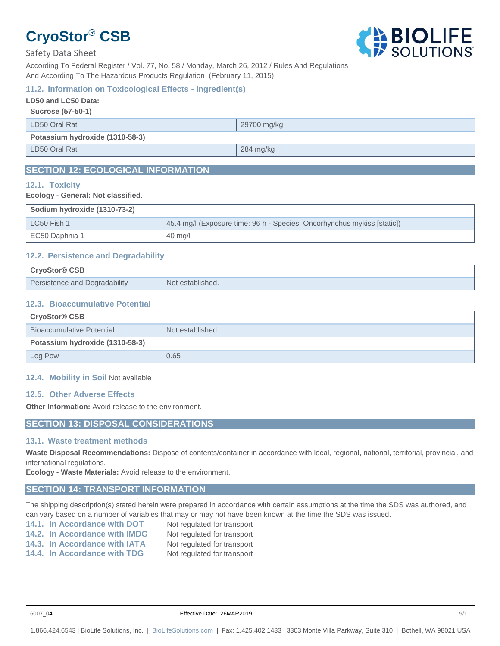

#### Safety Data Sheet

According To Federal Register / Vol. 77, No. 58 / Monday, March 26, 2012 / Rules And Regulations And According To The Hazardous Products Regulation (February 11, 2015).

#### **11.2. Information on Toxicological Effects - Ingredient(s)**

| LD50 and LC50 Data:             |             |
|---------------------------------|-------------|
| Sucrose (57-50-1)               |             |
| LD50 Oral Rat                   | 29700 mg/kg |
| Potassium hydroxide (1310-58-3) |             |
| LD50 Oral Rat                   | 284 mg/kg   |
|                                 |             |

# **SECTION 12: ECOLOGICAL INFORMATION**

#### **12.1. Toxicity**

#### **Ecology - General: Not classified**.

| Sodium hydroxide (1310-73-2) |                                                                         |
|------------------------------|-------------------------------------------------------------------------|
| $LC50$ Fish 1                | 45.4 mg/l (Exposure time: 96 h - Species: Oncorhynchus mykiss [static]) |
| EC50 Daphnia 1               | $40 \text{ mg/l}$                                                       |

#### **12.2. Persistence and Degradability**

| <b>CryoStor<sup>®</sup> CSB</b> |                  |
|---------------------------------|------------------|
| Persistence and Degradability   | Not established. |

#### **12.3. Bioaccumulative Potential**

| <b>CryoStor<sup>®</sup> CSB</b>  |                  |
|----------------------------------|------------------|
| <b>Bioaccumulative Potential</b> | Not established. |
| Potassium hydroxide (1310-58-3)  |                  |
| Log Pow                          | 0.65             |

#### **12.4. Mobility in Soil** Not available

#### **12.5. Other Adverse Effects**

**Other Information:** Avoid release to the environment.

### **SECTION 13: DISPOSAL CONSIDERATIONS**

#### **13.1. Waste treatment methods**

**Waste Disposal Recommendations:** Dispose of contents/container in accordance with local, regional, national, territorial, provincial, and international regulations.

**Ecology - Waste Materials:** Avoid release to the environment.

#### **SECTION 14: TRANSPORT INFORMATION**

The shipping description(s) stated herein were prepared in accordance with certain assumptions at the time the SDS was authored, and can vary based on a number of variables that may or may not have been known at the time the SDS was issued.

- **14.1. In Accordance with DOT** Not regulated for transport **14.2. In Accordance with IMDG** Not regulated for transport
	-
- **14.3. In Accordance with IATA** Not regulated for transport
- **14.4. In Accordance with TDG** Not regulated for transport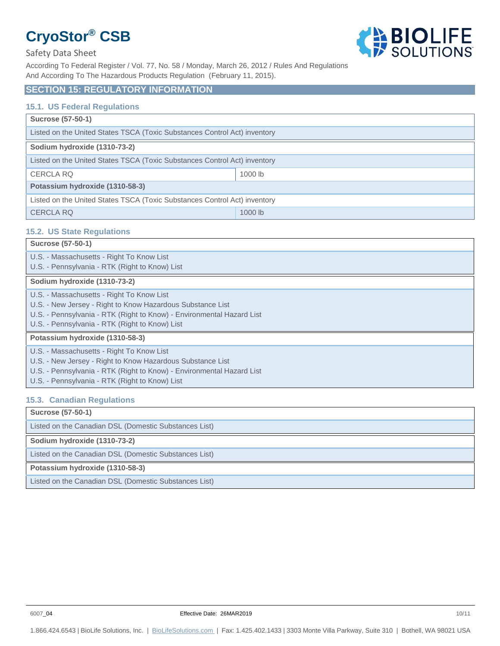



According To Federal Register / Vol. 77, No. 58 / Monday, March 26, 2012 / Rules And Regulations And According To The Hazardous Products Regulation (February 11, 2015).

# **SECTION 15: REGULATORY INFORMATION**

#### **15.1. US Federal Regulations**

| <b>Sucrose (57-50-1)</b>                                                  |           |  |
|---------------------------------------------------------------------------|-----------|--|
| Listed on the United States TSCA (Toxic Substances Control Act) inventory |           |  |
| Sodium hydroxide (1310-73-2)                                              |           |  |
| Listed on the United States TSCA (Toxic Substances Control Act) inventory |           |  |
| <b>CERCLA RQ</b>                                                          | 1000 lb   |  |
| Potassium hydroxide (1310-58-3)                                           |           |  |
| Listed on the United States TSCA (Toxic Substances Control Act) inventory |           |  |
| <b>CERCLA RQ</b>                                                          | $1000$ lb |  |

#### **15.2. US State Regulations**

| <b>Sucrose (57-50-1)</b>                                                                                                                                                                                                           |
|------------------------------------------------------------------------------------------------------------------------------------------------------------------------------------------------------------------------------------|
| U.S. - Massachusetts - Right To Know List<br>U.S. - Pennsylvania - RTK (Right to Know) List                                                                                                                                        |
| Sodium hydroxide (1310-73-2)                                                                                                                                                                                                       |
| U.S. - Massachusetts - Right To Know List<br>U.S. - New Jersey - Right to Know Hazardous Substance List<br>U.S. - Pennsylvania - RTK (Right to Know) - Environmental Hazard List<br>U.S. - Pennsylvania - RTK (Right to Know) List |
| Potassium hydroxide (1310-58-3)                                                                                                                                                                                                    |
| U.S. - Massachusetts - Right To Know List<br>U.S. - New Jersey - Right to Know Hazardous Substance List<br>U.S. - Pennsylvania - RTK (Right to Know) - Environmental Hazard List<br>U.S. - Pennsylvania - RTK (Right to Know) List |

#### **15.3. Canadian Regulations**

| <b>Sucrose (57-50-1)</b>                              |
|-------------------------------------------------------|
| Listed on the Canadian DSL (Domestic Substances List) |
| Sodium hydroxide (1310-73-2)                          |
| Listed on the Canadian DSL (Domestic Substances List) |
| Potassium hydroxide (1310-58-3)                       |
| Listed on the Canadian DSL (Domestic Substances List) |